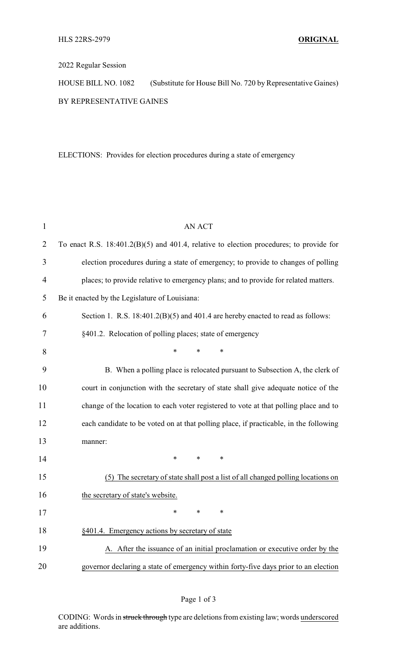## 2022 Regular Session

HOUSE BILL NO. 1082 (Substitute for House Bill No. 720 by Representative Gaines) BY REPRESENTATIVE GAINES

ELECTIONS: Provides for election procedures during a state of emergency

| $\mathbf{1}$   | <b>AN ACT</b>                                                                             |
|----------------|-------------------------------------------------------------------------------------------|
| $\overline{2}$ | To enact R.S. $18:401.2(B)(5)$ and 401.4, relative to election procedures; to provide for |
| 3              | election procedures during a state of emergency; to provide to changes of polling         |
| 4              | places; to provide relative to emergency plans; and to provide for related matters.       |
| 5              | Be it enacted by the Legislature of Louisiana:                                            |
| 6              | Section 1. R.S. $18:401.2(B)(5)$ and $401.4$ are hereby enacted to read as follows:       |
| 7              | §401.2. Relocation of polling places; state of emergency                                  |
| 8              | $\ast$<br>*<br>$\ast$                                                                     |
| 9              | B. When a polling place is relocated pursuant to Subsection A, the clerk of               |
| 10             | court in conjunction with the secretary of state shall give adequate notice of the        |
| 11             | change of the location to each voter registered to vote at that polling place and to      |
| 12             | each candidate to be voted on at that polling place, if practicable, in the following     |
| 13             | manner:                                                                                   |
| 14             | $\ast$<br>∗<br>$\ast$                                                                     |
| 15             | (5) The secretary of state shall post a list of all changed polling locations on          |
| 16             | the secretary of state's website.                                                         |
| 17             |                                                                                           |
| 18             | §401.4. Emergency actions by secretary of state                                           |
| 19             | A. After the issuance of an initial proclamation or executive order by the                |
| 20             | governor declaring a state of emergency within forty-five days prior to an election       |

CODING: Words in struck through type are deletions from existing law; words underscored are additions.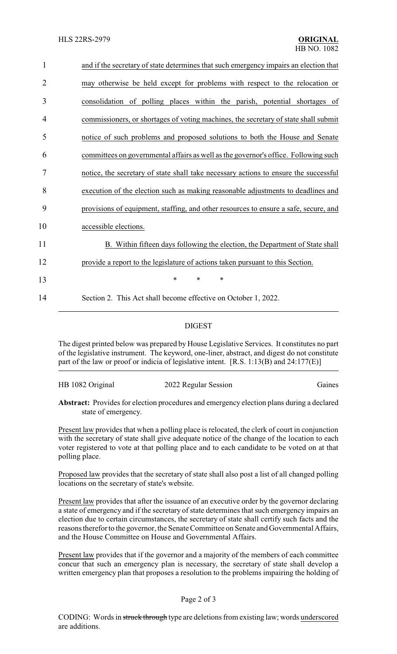| $\mathbf{1}$   | and if the secretary of state determines that such emergency impairs an election that |
|----------------|---------------------------------------------------------------------------------------|
| $\overline{2}$ | may otherwise be held except for problems with respect to the relocation or           |
| 3              | consolidation of polling places within the parish, potential shortages of             |
| 4              | commissioners, or shortages of voting machines, the secretary of state shall submit   |
| 5              | notice of such problems and proposed solutions to both the House and Senate           |
| 6              | committees on governmental affairs as well as the governor's office. Following such   |
| 7              | notice, the secretary of state shall take necessary actions to ensure the successful  |
| 8              | execution of the election such as making reasonable adjustments to deadlines and      |
| 9              | provisions of equipment, staffing, and other resources to ensure a safe, secure, and  |
| 10             | accessible elections.                                                                 |
| 11             | B. Within fifteen days following the election, the Department of State shall          |
| 12             | provide a report to the legislature of actions taken pursuant to this Section.        |
| 13             | $\ast$<br>$\ast$<br>*                                                                 |
| 14             | Section 2. This Act shall become effective on October 1, 2022.                        |
|                |                                                                                       |

## DIGEST

The digest printed below was prepared by House Legislative Services. It constitutes no part of the legislative instrument. The keyword, one-liner, abstract, and digest do not constitute part of the law or proof or indicia of legislative intent. [R.S. 1:13(B) and 24:177(E)]

## HB 1082 Original 2022 Regular Session Gaines

**Abstract:** Provides for election procedures and emergency election plans during a declared state of emergency.

Present law provides that when a polling place is relocated, the clerk of court in conjunction with the secretary of state shall give adequate notice of the change of the location to each voter registered to vote at that polling place and to each candidate to be voted on at that polling place.

Proposed law provides that the secretary of state shall also post a list of all changed polling locations on the secretary of state's website.

Present law provides that after the issuance of an executive order by the governor declaring a state of emergency and if the secretary of state determines that such emergency impairs an election due to certain circumstances, the secretary of state shall certify such facts and the reasons therefor to the governor, the Senate Committee on Senate and Governmental Affairs, and the House Committee on House and Governmental Affairs.

Present law provides that if the governor and a majority of the members of each committee concur that such an emergency plan is necessary, the secretary of state shall develop a written emergency plan that proposes a resolution to the problems impairing the holding of